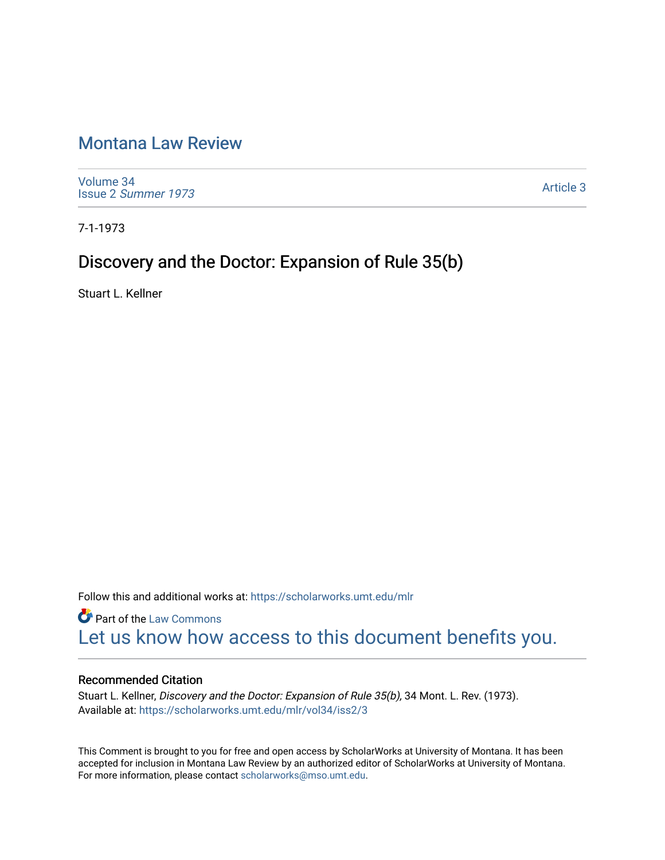# [Montana Law Review](https://scholarworks.umt.edu/mlr)

[Volume 34](https://scholarworks.umt.edu/mlr/vol34) Issue 2 [Summer 1973](https://scholarworks.umt.edu/mlr/vol34/iss2) 

[Article 3](https://scholarworks.umt.edu/mlr/vol34/iss2/3) 

7-1-1973

## Discovery and the Doctor: Expansion of Rule 35(b)

Stuart L. Kellner

Follow this and additional works at: [https://scholarworks.umt.edu/mlr](https://scholarworks.umt.edu/mlr?utm_source=scholarworks.umt.edu%2Fmlr%2Fvol34%2Fiss2%2F3&utm_medium=PDF&utm_campaign=PDFCoverPages) 

**Part of the [Law Commons](http://network.bepress.com/hgg/discipline/578?utm_source=scholarworks.umt.edu%2Fmlr%2Fvol34%2Fiss2%2F3&utm_medium=PDF&utm_campaign=PDFCoverPages)** [Let us know how access to this document benefits you.](https://goo.gl/forms/s2rGfXOLzz71qgsB2) 

### Recommended Citation

Stuart L. Kellner, Discovery and the Doctor: Expansion of Rule 35(b), 34 Mont. L. Rev. (1973). Available at: [https://scholarworks.umt.edu/mlr/vol34/iss2/3](https://scholarworks.umt.edu/mlr/vol34/iss2/3?utm_source=scholarworks.umt.edu%2Fmlr%2Fvol34%2Fiss2%2F3&utm_medium=PDF&utm_campaign=PDFCoverPages) 

This Comment is brought to you for free and open access by ScholarWorks at University of Montana. It has been accepted for inclusion in Montana Law Review by an authorized editor of ScholarWorks at University of Montana. For more information, please contact [scholarworks@mso.umt.edu.](mailto:scholarworks@mso.umt.edu)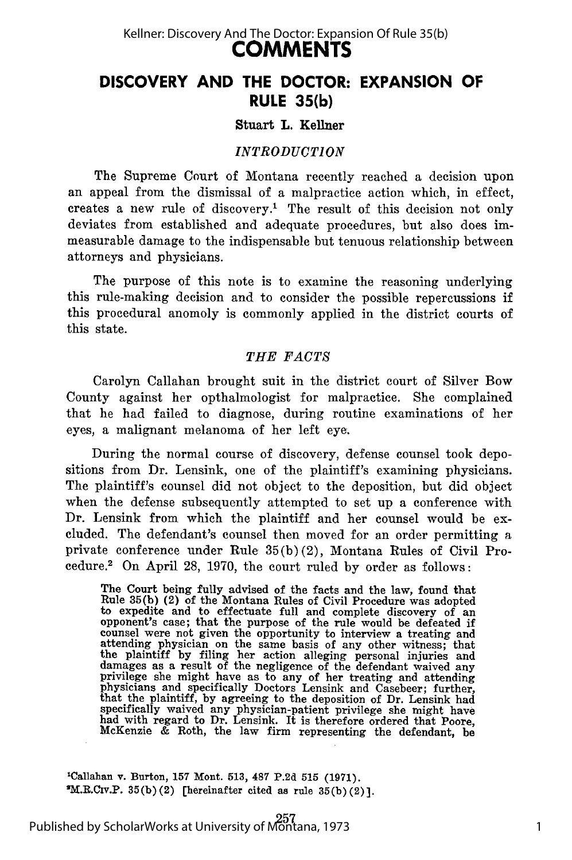### **COMMENTS** Kellner: Discovery And The Doctor: Expansion Of Rule 35(b)

## **DISCOVERY AND THE DOCTOR: EXPANSION OF RULE 35(b)**

#### Stuart L. Kellner

#### *INTRODUCTION*

The Supreme Court of Montana recently reached a decision upon an appeal from the dismissal of a malpractice action which, in effect, creates a new rule of discovery.' The result of this decision not only deviates from established and adequate procedures, but also does immeasurable damage to the indispensable but tenuous relationship between attorneys and physicians.

The purpose of this note is to examine the reasoning underlying this rule-making decision and to consider the possible repercussions if this procedural anomoly is commonly applied in the district courts of this state.

#### *THE FACTS*

Carolyn Callahan brought suit in the district court of Silver Bow County against her opthalmologist for malpractice. She complained that he had failed to diagnose, during routine examinations of her eyes, a malignant melanoma of her left eye.

During the normal course of discovery, defense counsel took depositions from Dr. Lensink, one of the plaintiff's examining physicians. The plaintiff's counsel did not object to the deposition, but did object when the defense subsequently attempted to set up a conference with Dr. Lensink from which the plaintiff and her counsel would be excluded. The defendant's counsel then moved for an order permitting a private conference under Rule 35(b) (2), Montana Rules of Civil Procedure.<sup>2</sup> On April 28, 1970, the court ruled by order as follows:

The Court being fully advised of the facts and the law, found that Rule 35(b) (2) of the Montana Rules of Civil Procedure was adopted to expedite and to effectuate full and complete discovery of an to expedite and to effectuate full and complete discovery of an opponent's case; that the purpose of the rule would be defeated if counsel were not given the opportunity to interview a treating and attending physician on the same basis of any other witness; that the plaintiff by filing her action alleging personal injuries and damages as a result of the negligence of the defendant waived any<br>privilege she might have as to any of her treating and attending<br>physicians and specifically Doctors Lensink and Casebeer; further,<br>that the plaintiff, by a specifically waived any physician-patient privilege she might have had with regard to Dr. Lensink. It is therefore ordered that Poore, McKenzie & Roth, the law firm representing the defendant, be

**'Callahan v. Burton, 157 Mont. 513, 487 P.2d 515 (1971). IM.R.CIV.P.**  $35(b)(2)$  [hereinafter cited as rule  $35(b)(2)$ ].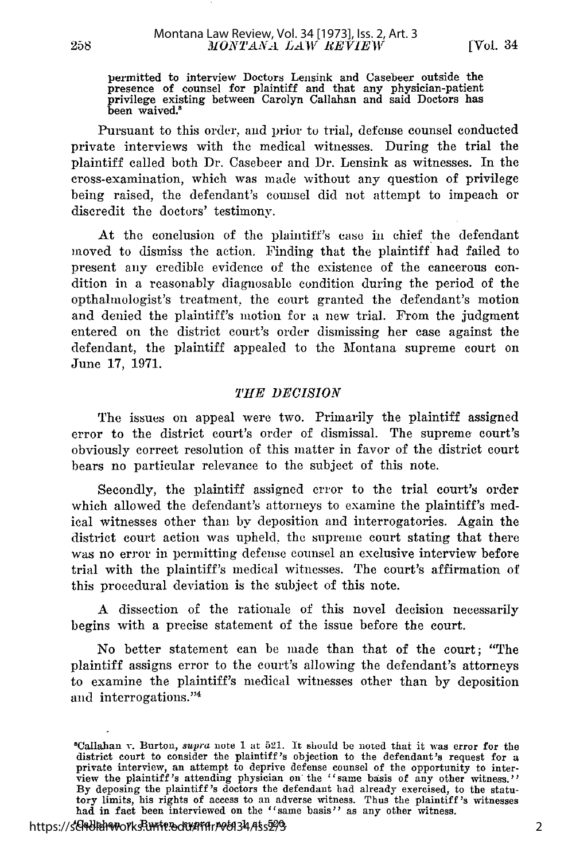permitted to interview Doctors Lensink and Casebeer outside the presence of counsel for plaintiff and that any physician-patien privilege existing between Carolyn Callahan and said Doctors has been waived.<sup>8</sup>

Pursuant to this order, and prior to trial, defense counsel conducted private interviews with the medical witnesses. During the trial the plaintiff called both Dr. Casebeer and Dr. Lensink as witnesses. In the cross-examination, which was made without any question of privilege being raised, the defendant's counsel did not attempt to impeach or discredit the doctors' testimony.

At the conclusion of the plaintiff's case **in** chief the defendant moved to dismiss the action. Finding that the plaintiff had failed to present any credible evidence of the existence of the cancerous condition in a reasonably diagnosable condition during the period of the opthalnologist's treatment, the court granted the defendant's motion and denied the plaintiff's motion for a new trial. From the judgment entered on the district court's order dismissing her case against the defendant, the plaintiff appealed to the Montana supreme court on June 17, 1971.

#### *THE DECISION*

The issues on appeal were two. Primarily the plaintiff assigned error to the district court's order of dismissal. The supreme court's obviously correct resolution of this matter in favor of the district court bears no particular relevance to the subject of this note.

Secondly, the plaintiff assigned error to the trial court's order which allowed the defendant's attorneys to examine the plaintiff's medical witnesses other than by deposition and interrogatories. Again the district court action was upheld, the supreme court stating that there was no error in permitting defense counsel an exclusive interview before trial with the plaintiff's medical witnesses. The court's affirmation of this procedural deviation is the subject of this note.

A dissection of the rationale of this novel decision necessarily begins with a precise statement of the issue before the court.

No better statement can be made than that of the court; "The plaintiff assigns error to the court's allowing the defendant's attorneys to examine the plaintiff's medical witnesses other than by deposition and interrogations."<sup>4</sup>

<sup>8</sup> Callahan v. Burton, *supra* note **1** at **521.** It should be noted that it was error for the district court to consider the plaintiff's objection to the defendant's request for a private interview, an attempt to deprive defense counsel of the opportunity to interview the plaintiff's attending physician on the "sam **By** deposing the plaintiff's doctors the defendant had already exercised, to the statutory limits, his rights of access to an adverse witness. Thus the plaintiff's witnesses had in fact been interviewed on the "same basis" as any other witness.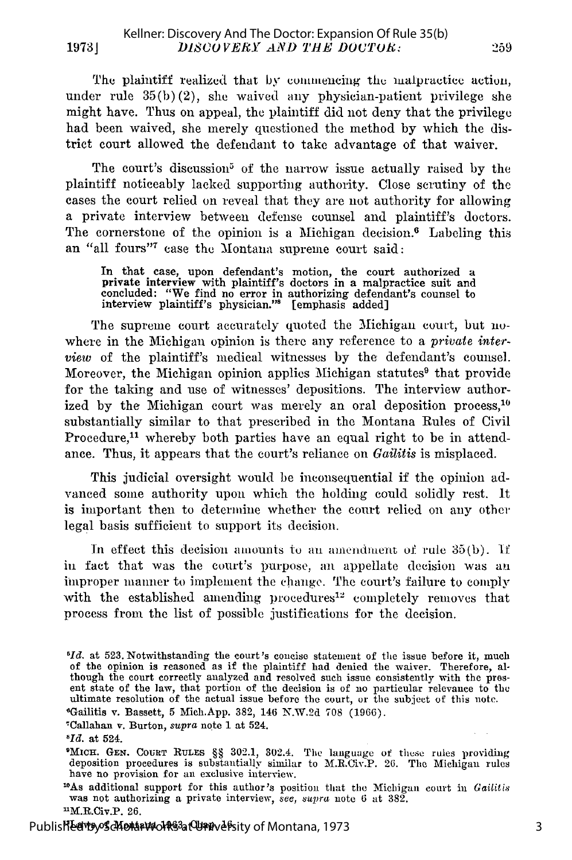The plaintiff realized that by commencing the malpractice action, under rule  $35(b)(2)$ , she waived any physician-patient privilege she might have. Thus on appeal, the plaintiff did not deny that the privilege had been waived, she merely questioned the method by which the district court allowed the defendant to take advantage of that waiver.

The court's discussion<sup>5</sup> of the narrow issue actually raised by the plaintiff noticeably lacked supporting authority. Close scrutiny of the cases the court relied on reveal that they are not authority for allowing a private interview between defense counsel and plaintiff's doctors. The cornerstone of the opinion is a Michigan decision. $6$  Labeling this an "all fours"7 case the Montana supreme court said:

In that case, upon defendant's motion, the court authorized a private interview with plaintiff's doctors in a malpractice suit and concluded: "We find no error in authorizing defendant's counsel to interview plaintiff's physician." [emphasis added]

The supreme court accurately quoted the Michigan court, but nowhere in the Michigan opinion is there any reference to a *private interview* of the plaintiff's medical witnesses by the defendant's counsel. Moreover, the Michigan opinion applies Michigan statutes<sup>9</sup> that provide for the taking and use of witnesses' depositions. The interview authorized by the Michigan court was merely an oral deposition process,<sup>10</sup> substantially similar to that prescribed in the Montana Rules of Civil Procedure, $<sup>11</sup>$  whereby both parties have an equal right to be in attend-</sup> ance. Thus, it appears that the court's reliance on *Gailitis* is misplaced.

This judicial oversight would be inconsequential if the opinion advanced some authority upon which the holding could solidly rest. It is important then to determine whether the court relied on any other legal basis sufficient to support its decision.

In effect this decision amounts to an amendment of rule  $35(b)$ . If in fact that was the court's purpose, an appellate decision was an improper manner to implement the change. The court's failure to comply with the established amending procedures<sup>12</sup> completely removes that process from the list of possible justifications for the decision.

rCallahan v. Burton, *supra* note 1 at 524.

'WicH. GEN. **COURT RULES** §§ 302.1, 302.4. The language of these rules providing deposition procedures is substantially similar to M.R.Civ.P. **26.** The Michigan rules have no provision for an exclusive interview.<br><sup>10</sup>As additional support for this author's position that the Michigan court in *Gailitis* 

was not authorizing a private interview, *see, supra* note 6 at 382.  $^{\text{u}}$ M.R.Civ.P. 26.

<sup>&</sup>lt;sup>6</sup>*Id.* at 523. Notwithstanding the court's concise statement of the issue before it, much of the opinion is reasoned as if the plaintiff had denied the waiver. Therefore, although the court correctly analyzed and resolved such issue consistently with the pres-ent state of the law, that portion of the decision is of no particular relevance to *the* ultimate resolution of the actual issue before the court, or the subject of this note.  $G$ ailitis v. Bassett, 5 Mich.App. 382, 146 N.W.2d 708 (1966).

sId. at 524.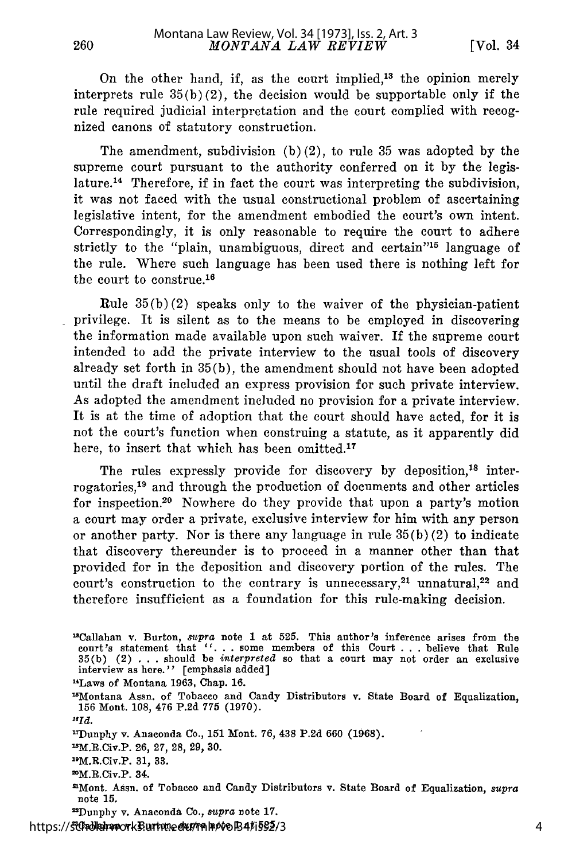260

On the other hand, if, as the court implied,<sup>13</sup> the opinion merely interprets rule  $35(b)(2)$ , the decision would be supportable only if the rule required judicial interpretation and the court complied with recognized canons of statutory construction.

The amendment, subdivision  $(b)(2)$ , to rule 35 was adopted by the supreme court pursuant to the authority conferred on it by the legislature.14 Therefore, if in fact the court was interpreting the subdivision, it was not faced with the usual constructional problem of ascertaining legislative intent, for the amendment embodied the court's own intent. Correspondingly, it is only reasonable to require the court to adhere strictly to the "plain, unambiguous, direct and certain"<sup>15</sup> language of the rule. Where such language has been used there is nothing left for the court to construe.<sup>16</sup>

Rule  $35(b)(2)$  speaks only to the waiver of the physician-patient privilege. It is silent as to the means to be employed in discovering the information made available upon such waiver. If the supreme court intended to add the private interview to the usual tools of discovery already set forth in 35(b), the amendment should not have been adopted until the draft included an express provision for such private interview. As adopted the amendment included no provision for a private interview. It is at the time of adoption that the court should have acted, for it is not the court's function when construing a statute, as it apparently did here, to insert that which has been omitted.<sup>17</sup>

The rules expressly provide for discovery by deposition,<sup>18</sup> interrogatories, $<sup>19</sup>$  and through the production of documents and other articles</sup> for inspection.20 Nowhere do they provide that upon a party's motion a court may order a private, exclusive interview for him with any person or another party. Nor is there any language in rule  $35(b)(2)$  to indicate that discovery thereunder is to proceed in a manner other than that provided for in the deposition and discovery portion of the rules. The court's construction to the contrary is unnecessary, $21$  unnatural, $22$  and therefore insufficient as a foundation for this rule-making decision.

"Callahan v. Burton, *supra* note **1** at **525.** This author's inference arises from the court's statement that "... some members of this Court ... believe that Rule 35(b) (2) . . . should be *interpreted* so that a court may not order an exclusive interview as here.'' [emphasis added] "'Laws of Montana 1963, Chap. 16. '5Montana Assn. of Tobacco and Candy Distributors v. State Board of Equalization, **156** Mont. 108, 476 **P.2d** 775 (1970). **"Id.** 1 7Dunphy v. Anaconda Co., **151** Mont. 76, 438 P.2d 660 (1968). 11M.R.Civ.P. 26, **27,** 28, **29,** 30. 1 0M.R.Civ.P. 31, **33.** 2M.R.Civ.P. 34. mMont. Assn. of Tobacco and Candy Distributors v. State Board of Equalization, *supra* note **15.** 1Dunphy v. Anaconda Co., *supra* note 17.

'Callahan v. Burton, *supra* note 1 at **525.** https://scholarworks.umt.edu/mlr/vol34/iss2/3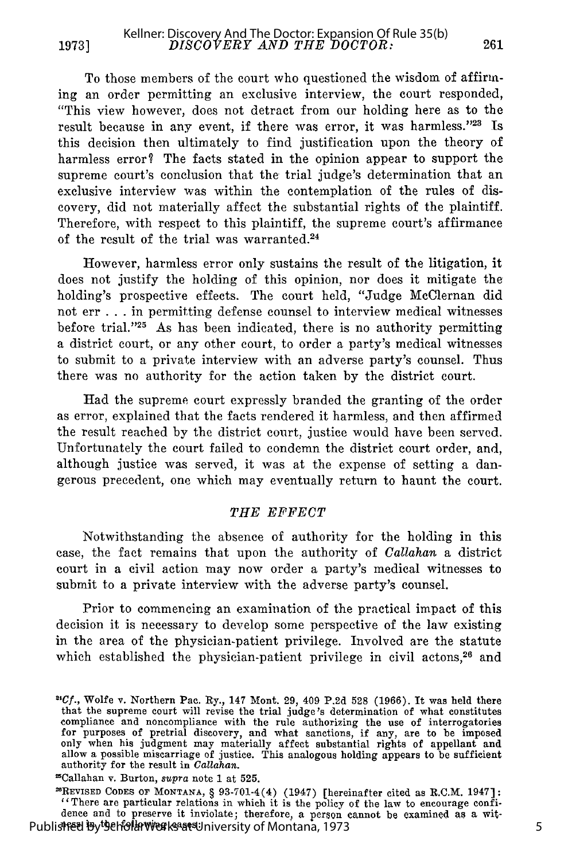**1973]**

To those members of the court who questioned the wisdom of affirming an order permitting an exclusive interview, the court responded, "This view however, does not detract from our holding here as to the result because in any event, if there was error, it was harmless. '23 **Is** this decision then ultimately to find justification upon the theory of harmless error? The facts stated in the opinion appear to support the supreme court's conclusion that the trial judge's determination that an exclusive interview was within the contemplation of the rules of discovery, did not materially affect the substantial rights of the plaintiff. Therefore, with respect to this plaintiff, the supreme court's affirmance of the result of the trial was warranted.<sup>24</sup>

However, harmless error only sustains the result of the litigation, it does not justify the holding of this opinion, nor does it mitigate the holding's prospective effects. The court held, "Judge McClernan did not err **...** in permitting defense counsel to interview medical witnesses before trial."<sup>25</sup> As has been indicated, there is no authority permitting a district court, or any other court, to order a party's medical witnesses to submit to a private interview with an adverse party's counsel. Thus there was no authority for the action taken by the district court.

Had the supreme court expressly branded the granting of the order as error, explained that the facts rendered it harmless, and then affirmed the result reached by the district court, justice would have been served. Unfortunately the court failed to condemn the district court order, and, although justice was served, it was at the expense of setting a dangerous precedent, one which may eventually return to haunt the court.

#### THE EFFECT

Notwithstanding the absence of authority for the holding in this case, the fact remains that upon the authority of *Callahan* a district court in a civil action may now order a party's medical witnesses to submit to a private interview with the adverse party's counsel.

Prior to commencing an examination of the practical impact of this decision it is necessary to develop some perspective of the law existing in the area of the physician-patient privilege. Involved are the statute which established the physician-patient privilege in civil actons,<sup>26</sup> and

"Callahan v. Burton, *supra* note **1** at 525.

 $^{\text{26}}$ REVISED CODES OF MONTANA, § 93-701-4(4) (1947) [hereinafter cited as R.C.M. 1947] "There are particular relations in which it is the policy of the law to encourage confidence and to preserve it inviolate; therefore, a person cannot be examined as a wit-Published By Seholar Werks at University of Montana, 1973

261

*<sup>2</sup>t Cf.,* Wolfe v. Northern Pac. Ry., 147 Mont. 29, 409 P.2d 528 (1966). It was held there that the supreme court will revise the trial judge's determination of what constitutes<br>compliance and noncompliance with the rule authorizing the use of interrogatories<br>for purposes of pretrial discovery, and what sanction only when his judgment may materially affect substantial rights of appellant and allow a possible miscarriage of justice. This analogous holding appears to be sufficient authority for the result in *Gallahan.*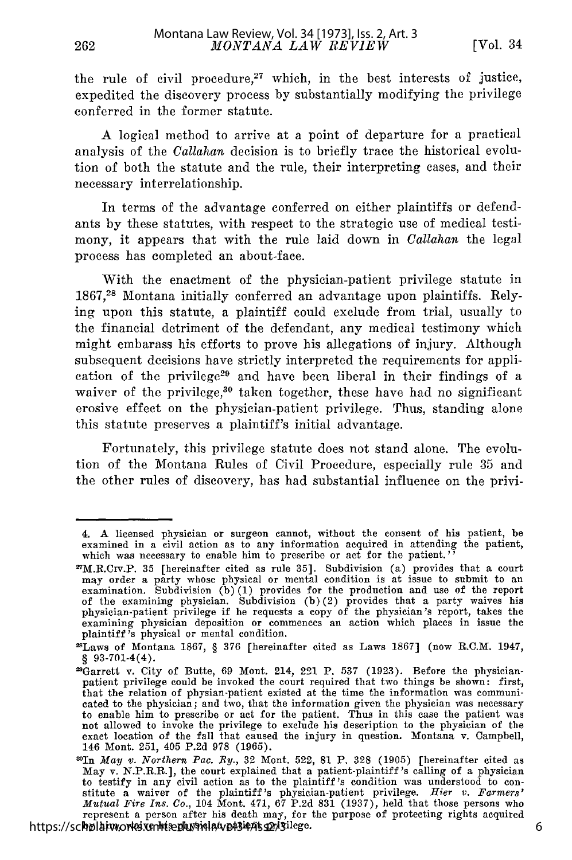the rule of civil procedure, $27$  which, in the best interests of justice, expedited the discovery process by substantially modifying the privilege conferred in the former statute.

A logical method to arrive at a point of departure for a practical analysis of the *Callahan* decision is to briefly trace the historical evolution of both the statute and the rule, their interpreting cases, and their necessary interrelationship.

In terms of the advantage conferred on either plaintiffs or defendants by these statutes, with respect to the strategic use of medical testimony, it appears that with the rule laid down in *Callahan* the legal process has completed an about-face.

With the enactment of the physician-patient privilege statute in 1867,28 Montana initially conferred an advantage upon plaintiffs. Relying upon this statute, a plaintiff could exclude from trial, usually to the financial detriment of the defendant, any medical testimony which might embarass his efforts to prove his allegations of injury. Although subsequent decisions have strictly interpreted the requirements for application of the privilege<sup>29</sup> and have been liberal in their findings of a waiver of the privilege,<sup>30</sup> taken together, these have had no significant erosive effect on the physician-patient privilege. Thus, standing alone this statute preserves a plaintiff's initial advantage.

Fortunately, this privilege statute does not stand alone. The evolution of the Montana Rules of Civil Procedure, especially rule 35 and the other rules of discovery, has had substantial influence on the privi-

<sup>4.</sup> A licensed physician or surgeon cannot, without the consent of his patient, be examined in a civil action as to any information acquired in attending the patient, which was necessary to enable him to prescribe or act for the patient.'

 $n_{\text{max}}$  as  $n_{\text{max}}$  as the region of  $\frac{1}{n}$  and  $\frac{1}{n}$  are  $\frac{1}{n}$  and  $\frac{1}{n}$  provides that a court may order a party whose physical or mental condition is at issue to submit to an examination. Subdivision (b)(1) provides for the production and use of the report of the examining physician. Subdivision (b)(2) provides that a party waives his physician-patient privilege if he requests a copy of the physician's report, takes the examining physician deposition or commences an action which places in issue the plaintiff's physical or mental condition.

 $2E$ Laws of Montana 1867, § 376 (hereinafter cited as Laws 1867) (now R.C.M. 1947, § 93-701-4(4).

<sup>&</sup>lt;sup>29</sup>Garrett v. City of Butte, 69 Mont. 214, 221 P. 537 (1923). Before the physician-<br>patient privilege could be invoked the court required that two things be shown: first,<br>that the relation of physian-patient existed at th cated to the physician; and two, that the information given the physician was necessary to enable him to prescribe or act for the patient. Thus in this case the patient was not allowed to invoke the privilege to exclude his description to the physician of the exact location of the fall that caused the injury in question. Montana v. Campbell, 146 Mont. 251, 405 P.2d 978 (1965).

<sup>3</sup>OIn *May v. Northern Pae. By.,* 32 Mont. 522, 81 P. 328 (1905) [hereinafter cited as May v. N.P.R.R.], the court explained that a patient-plaintiff's calling of a physician to testify in any civil action as to the plaintiff's condition was understood to constitute a waiver of the plaintiff's physician-patient privilege. *Hier v. Farmers' Mutual Fire Ins. Co.,* 104 Mont. 471, 67 P.2d 831 (1937), held that those persons who represent a person after his death may, for the purpose of protecting rights acquired https://scholarworks.umt.edu/mola/vol34/iss22/3ilege.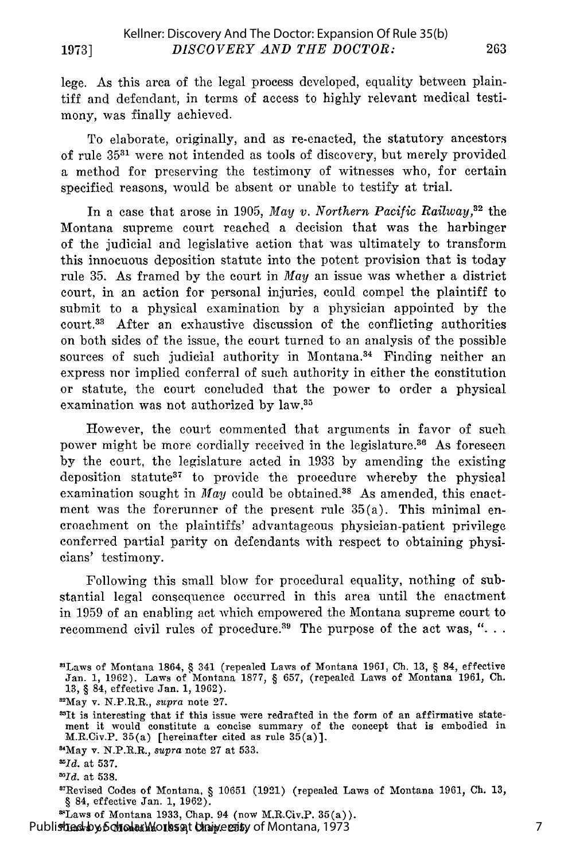lege. As this area of the legal process developed, equality between plaintiff and defendant, in terms of access to highly relevant medical testimony, was finally achieved.

To elaborate, originally, and as re-enacted, the statutory ancestors of rule **3531** were not intended as tools of discovery, but merely provided a method for preserving the testimony of witnesses who, for certain specified reasons, would be absent or unable to testify at trial.

In a case that arose in 1905, *May v. Northern Pacific Railway*,<sup>32</sup> the Montana supreme court reached a decision that was the harbinger of the judicial and legislative action that was ultimately to transform this innocuous deposition statute into the potent provision that is today rule 35. As framed by the court in *May* an issue was whether a district court, in an action for personal injuries, could compel the plaintiff to submit to a physical examination by a physician appointed by the court.33 After an exhaustive discussion of the conflicting authorities on both sides of the issue, the court turned to an analysis of the possible sources of such judicial authority in Montana.<sup>34</sup> Finding neither an express nor implied conferral of such authority in either the constitution or statute, the court concluded that the power to order a physical examination was not authorized by law.<sup>35</sup>

However, the court commented that arguments in favor of such power might be more cordially received in the legislature.<sup>36</sup> As foreseen by the court, the legislature acted in 1933 by amending the existing deposition statute37 to provide the procedure whereby the physical examination sought in *May* could be obtained.<sup>38</sup> As amended, this enactment was the forerunner of the present rule 35(a). This minimal encroachment on the plaintiffs' advantageous physician-patient privilege conferred partial parity on defendants with respect to obtaining physicians' testimony.

Following this small blow for procedural equality, nothing of substantial legal consequence occurred in this area until the enactment in 1959 of an enabling act which empowered the Montana supreme court to recommend civil rules of procedure.<sup>39</sup> The purpose of the act was, "...

<sup>&</sup>quot;Laws of Montana 1864, § 341 (repealed Laws of Montana 1961, **Ch.** 13, § 84, effective Jan. 1, 1962). Laws of Montana 1877, § 657, (repealed Laws of Montana 1961, Ch. 13, § 84, effective Jan. 1, 1962).

<sup>&</sup>quot; 2 May v. N.P.R.R., *supra* note 27.

<sup>\*</sup>It is interesting that if this issue were redrafted in the form of an affirmative statement it would constitute a concise summary of the concept that is embodied in M.R.Civ.P. 35(a) [hereinafter cited as rule 35(a)].

<sup>&#</sup>x27;May v. N.P.R.R., *supra* note 27 at 533.

*MId.* at **537.**

<sup>&</sup>lt;sup>20</sup>*Id.* at 538.

<sup>&</sup>lt;sup>87</sup>Revised Codes of Montana, § 10651 (1921) (repealed Laws of Montana 1961, Ch. 13, § 84, effective Jan. 1, 1962).

<sup>&#</sup>x27;Laws of Montana 1933, Chap. 94 (now M.R.Civ.P. 35(a)).

Published by Scholar Works at Chaiversity of Montana, 1973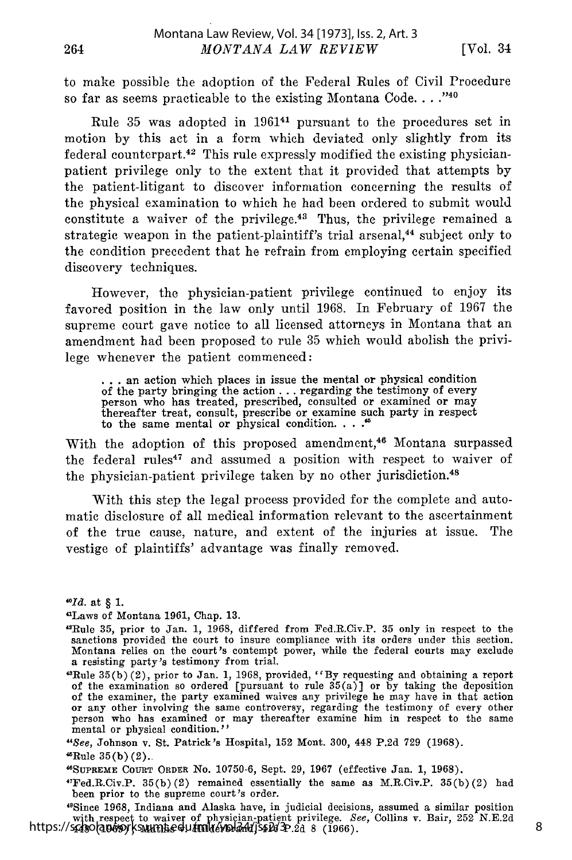to make possible the adoption of the Federal Rules of Civil Procedure so far as seems practicable to the existing Montana Code **... -**

Rule 35 was adopted in 196141 pursuant to the procedures set in motion by this act in a form which deviated only slightly from its federal counterpart.<sup>42</sup> This rule expressly modified the existing physicianpatient privilege only to the extent that it provided that attempts by the patient-litigant to discover information concerning the results of the physical examination to which he had been ordered to submit would constitute a waiver of the privilege. $43$  Thus, the privilege remained a strategic weapon in the patient-plaintiff's trial arsenal,<sup>44</sup> subject only to the condition precedent that he refrain from employing certain specified discovery techniques.

However, the physician-patient privilege continued to enjoy its favored position in the law only until 1968. In February of 1967 the supreme court gave notice to all licensed attorneys in Montana that an amendment had been proposed to rule 35 which would abolish the privilege whenever the patient commenced:

**. ..**an action which places in issue the mental or physical condition of the party bringing the action **...** regarding the testimony of every person who has treated, prescribed, consulted or examined or may thereafter treat, consult, prescribe or examine such party in respect to the same mental or physical condition **... '**

With the adoption of this proposed amendment,<sup>46</sup> Montana surpassed the federal rules<sup>47</sup> and assumed a position with respect to waiver of the physician-patient privilege taken by no other jurisdiction.<sup>48</sup>

With this step the legal process provided for the complete and automatic disclosure of all medical information relevant to the ascertainment of the true cause, nature, and extent of the injuries at issue. The vestige of plaintiffs' advantage was finally removed.

*40Id.* at § 1.

"Laws of Montana 1961, Chap. 13.

"Since 1968, Indiana and Alaska have, in judicial decisions, assumed a similar position with respect to waiver of physician-patient privilege. See, Collins v. Bair, 252 N.E.2d https://scholarworks.umt.edu/mlr/vol34d/552d3P.2d 8 (1966)

<sup>&</sup>quot;Rule 35, prior to Jan. 1, 1968, differed from Fed.R.Civ.P. 35 only in respect to the sanctions provided the court to insure compliance with its orders under this section. Montana relies on the court's contempt power, while the federal courts may exclude a resisting party's testimony from trial.

<sup>&</sup>quot;Rule 35(b) (2), prior to Jan. 1, 1968, provided, **"By** requesting and obtaining a report of the examination so ordered [pursuant to rule  $35(a)$ ] or by taking the deposition of the examiner, the party examined waives any privilege he may have in that action or any other involving the same controversy, regarding the testimony of every other person who has examined or may thereafter examine him in respect to the same mental or physical condition.''

<sup>&</sup>quot;See, Johnson v. St. Patrick's Hospital, **152** Mont. 300, 448 **P.2d 729** (1968).  ${}^{45}$ Rule 35(b)(2).

**<sup>&</sup>quot;SUPREME** COURT ORDER No. 10750-6, Sept. 29, 1967 (effective Jan. 1, 1968).

<sup>&</sup>quot;Fed.R.Civ.P. 35(b)(2) remained essentially the same as M.R.Civ.P. 35(b)(2) had been prior to the supreme court 's order.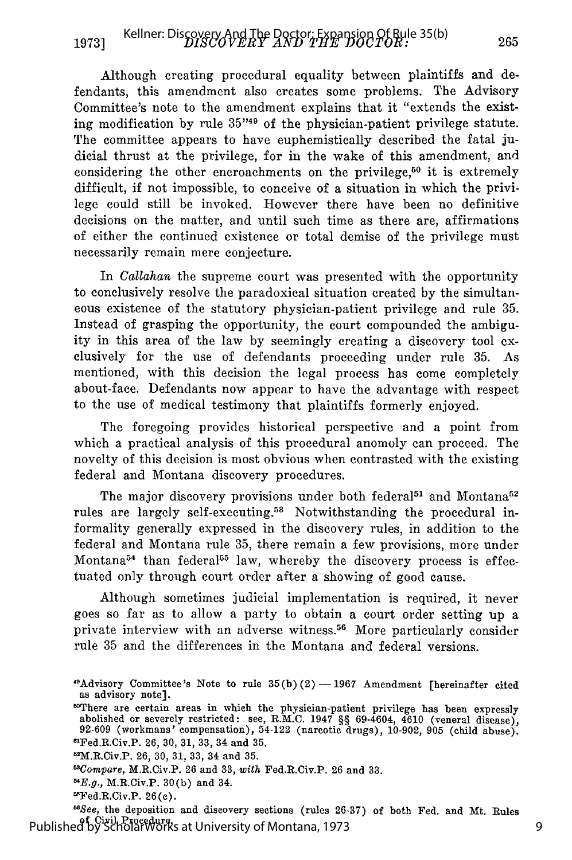Although creating procedural equality between plaintiffs and defendants, this amendment also creates some problems. The Advisory Committee's note to the amendment explains that it "extends the existing modification by rule 35<sup>749</sup> of the physician-patient privilege statute. The committee appears to have euphemistically described the fatal judicial thrust at the privilege, for in the wake of this amendment, and considering the other encroachments on the privilege,<sup>50</sup> it is extremely difficult, if not impossible, to conceive of a situation in which the privilege could still be invoked. However there have been no definitive decisions on the matter, and until such time as there are, affirmations of either the continued existence or total demise of the privilege must necessarily remain mere conjecture.

In *Callahan* the supreme court was presented with the opportunity to conclusively resolve the paradoxical situation created by the simultaneous existence of the statutory physician-patient privilege and rule 35. Instead of grasping the opportunity, the court compounded the ambiguity in this area of the law by seemingly creating a discovery tool exclusively for the use of defendants proceeding under rule 35. As mentioned, with this decision the legal process has come completely about-face. Defendants now appear to have the advantage with respect to the use of medical testimony that plaintiffs formerly enjoyed.

The foregoing provides historical perspective and a point from which a practical analysis of this procedural anomoly can proceed. The novelty of this decision is most obvious when contrasted with the existing federal and Montana discovery procedures.

The major discovery provisions under both federal<sup>51</sup> and Montana<sup>52</sup> rules are largely self-executing.<sup>53</sup> Notwithstanding the procedural informality generally expressed in the discovery rules, in addition to the federal and Montana rule 35, there remain a few provisions, more under Montana<sup>54</sup> than federal<sup>55</sup> law, whereby the discovery process is effectuated only through court order after a showing of good cause.

Although sometimes judicial implementation is required, it never goes so far as to allow a party to obtain a court order setting up a private interview with an adverse witness.<sup>56</sup> More particularly consider rule 35 and the differences in the Montana and federal versions.

- 62M.R.Civ.P. **26,** 30, 31, 33, 34 and 35.
- *"Compare,* M.R.Civ.P. 26 and 33, *with* Fed.R.Civ.P. **26** and 33.
- $E.g., M.R.Civ.P. 30(b) and 34.$
- $E$ Fed.R.Civ.P. 26(c).

*"See,* the deposition and discovery sections (rules 26-37) of both Fed. and Mt. Rules of Civil Procedure. Published by ScholarWorks at University of Montana, 1973

<sup>9</sup> Advisory Committee's Note to rule **35(b)** (2) **-** 1967 Amendment [hereinafter cited as advisory note]. as advisory note].<br>"There are certain areas in which the physician-patient privilege has been expressly

abolished or severely restricted: see, R.M.C. 1947 §§ 69-4604, 4610 (veneral disease), 92-609 (workmans' compensation), 54-122 (narcotic drugs), 10-902, 905 (child abuse)<sup>ar</sup>Fed.R.Civ.P. 26, 30, 31, 33, 34 and 35.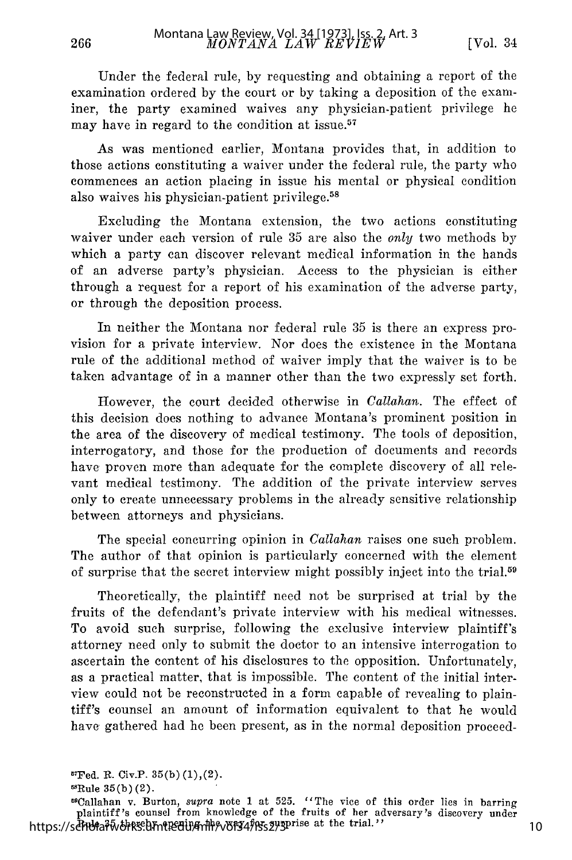Under the federal rule, by requesting and obtaining a report of the examination ordered by the court or by taking a deposition of the examiner, the party examined waives any physician-patient privilege he may have in regard to the condition at issue.<sup>57</sup>

As was mentioned earlier, Montana provides that, in addition to those actions constituting a waiver under the federal rule, the party who commences an action placing in issue his mental or physical condition also waives his physician-patient privilege. <sup>58</sup>

Excluding the Montana extension, the two actions constituting waiver under each version of rule 35 are also the *only* two methods by which a party can discover relevant medical information in the hands of an adverse party's physician. Access to the physician is either through a request for a report of his examination of the adverse party, or through the deposition process.

In neither the Montana nor federal rule 35 is there an express provision for a private interview. Nor does the existence in the Montana rule of the additional method of waiver imply that the waiver is to be taken advantage of in a manner other than the two expressly set forth.

However, the court decided otherwise in *Callahan.* The effect of this decision does nothing to advance Montana's prominent position in the area of the discovery of medical testimony. The tools of deposition, interrogatory, and those for the production of documents and records have proven more than adequate for the complete discovery of all relevant medical testimony. The addition of the private interview serves only to create unnecessary problems in the already sensitive relationship between attorneys and physicians.

The special concurring opinion in *Callahan* raises one such problem. The author of that opinion is particularly concerned with the element of surprise that the secret interview might possibly inject into the trial. <sup>59</sup>

Theoretically, the plaintiff need not be surprised at trial by the fruits of the defendant's private interview with his medical witnesses. To avoid such surprise, following the exclusive interview plaintiff's attorney need only to submit the doctor to an intensive interrogation to ascertain the content of his disclosures to the opposition. Unfortunately, as a practical matter, that is impossible. The content of the initial interview could not be reconstructed in a form capable of revealing to plaintiff's counsel an amount of information equivalent to that he would have gathered had he been present, as in the normal deposition proceed-

266

5 'Callaban v. Burton, *supra* note 1 at 525. "The vice of this order lies in barring plaintiff's counsel from knowledge of the fruits of her adversary's discovery under https://schummatedigmentedigmentedu/mlr/volt34fors2y3prise at the trial."

 ${}^{\text{57}}$ Fed. R. Civ.P.  $35(b)(1),(2)$ .

 ${}^{58}$ Rule 35(b)(2).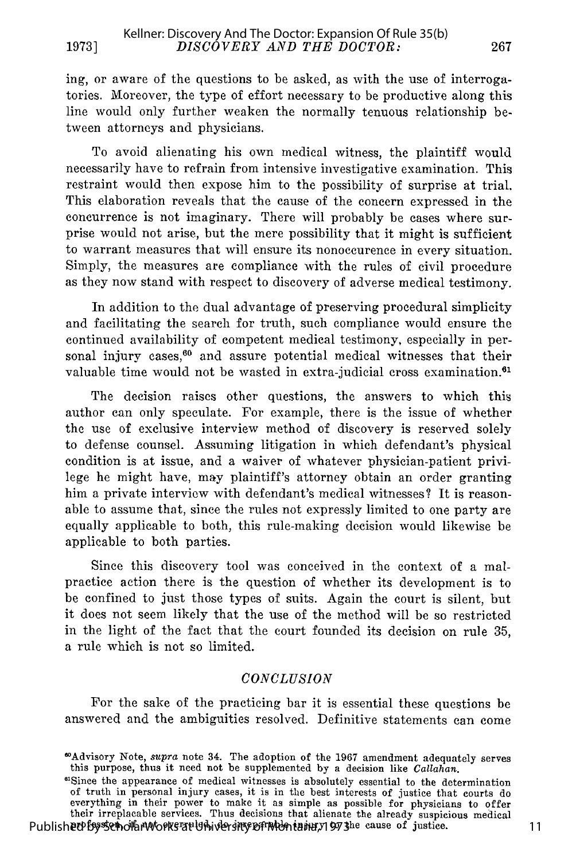ing, or aware of the questions to be asked, as with the use of interrogatories. Moreover, the type of effort necessary to be productive along this line would only further weaken the normally tenuous relationship between attorneys and physicians.

To avoid alienating his own medical witness, the plaintiff would necessarily have to refrain from intensive investigative examination. This restraint would then expose him to the possibility of surprise at trial. This elaboration reveals that the cause of the concern expressed in the concurrence is not imaginary. There will probably be cases where surprise would not arise, but the mere possibility that it might is sufficient to warrant measures that will ensure its nonoccurence in every situation. Simply, the measures are compliance with the rules of civil procedure as they now stand with respect to discovery of adverse medical testimony.

In addition to the dual advantage of preserving procedural simplicity and facilitating the search for truth, such compliance would ensure the continued availability of competent medical testimony, especially in personal injury cases,<sup>60</sup> and assure potential medical witnesses that their valuable time would not be wasted in extra-judicial cross examination.<sup>61</sup>

The decision raises other questions, the answers to which this author can only speculate. For example, there is the issue of whether the use of exclusive interview method of discovery is reserved solely to defense counsel. Assuming litigation in which defendant's physical condition is at issue, and a waiver of whatever physician-patient privilege he might have, may plaintiff's attorney obtain an order granting him a private interview with defendant's medical witnesses? It is reasonable to assume that, since the rules not expressly limited to one party are equally applicable to both, this rule-making decision would likewise be applicable to both parties.

Since this discovery tool was conceived in the context of a malpractice action there is the question of whether its development is to be confined to just those types of suits. Again the court is silent, but it does not seem likely that the use of the method will be so restricted in the light of the fact that the court founded its decision on rule 35, a rule which is not so limited.

#### *CONCLUSION*

For the sake of the practicing bar it is essential these questions be answered and the ambiguities resolved. Definitive statements can come

11

<sup>6</sup>Advisory Note, *supra* note 34. The adoption of the 1967 amendment adequately serves this purpose, thus it need not be supplemented by a decision like *Callahan.* <sup>6</sup>

<sup>&</sup>lt;sup>61</sup>Since the appearance of medical witnesses is absolutely essential to the determination of truth in personal injury cases, it is in the best interests of justice that courts do everything in their power to make it as simple as possible for physicians to offer<br>their irreplacable services. Thus decisions that alienate the already suspicious medical Published by Scholard correction and accurate the unitate the directly suspected to the cause of justice.